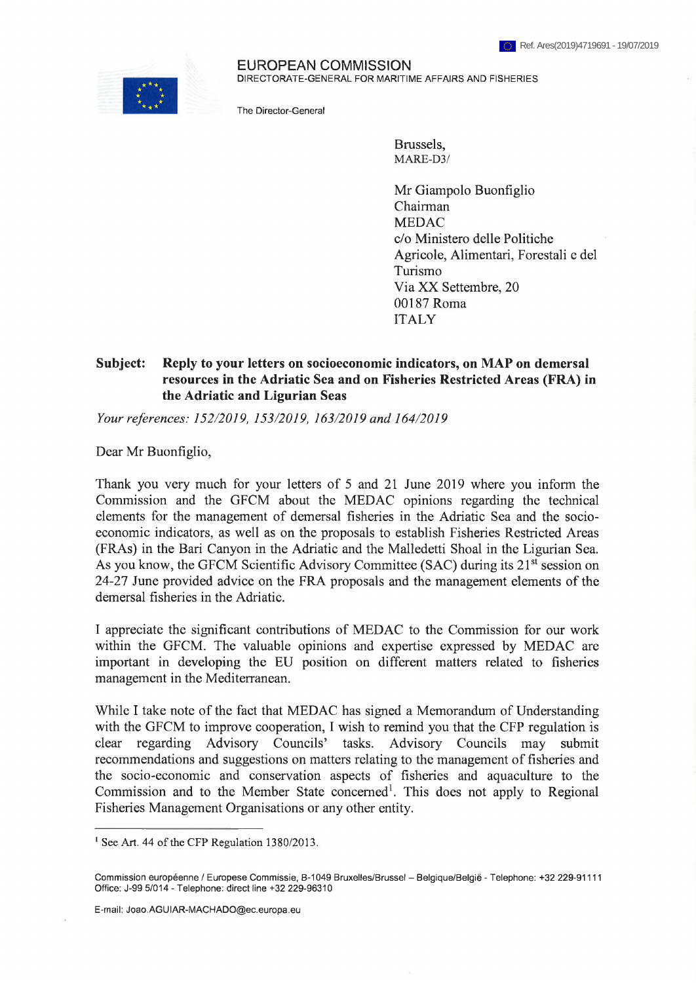

EUROPEAN COMMISSION DIRECTORATE-GENERAL FOR MARITIME AFFAIRS AND FISHERIES

The Director-General

Brussels, MARE-D3/

Mr Giampolo Buonfiglio Chairman MEDAC c/o Ministero delle Politiche Agricole, Alimentari, Forestali e del Turismo Via XX Settembre, 20 00187 Roma ITALY

## **Subject: Reply to your letters on socioeconomic indicators, on MAP on demersal resources in the Adriatic Sea and on Fisheries Restricted Areas (FRA) in the Adriatic and Ligurian Seas**

*Your references: 152/2019, 153/2019, 163/2019 and 164/2019*

Dear Mr Buonfiglio,

Thank you very much for your letters of 5 and 21 June 2019 where you inform the Commission and the GFCM about the MEDAC opinions regarding the technical elements for the management of demersal fisheries in the Adriatic Sea and the socioeconomic indicators, as well as on the proposals to establish Fisheries Restricted Areas (FRAs) in the Bari Canyon in the Adriatic and the Maliedetti Shoal in the Ligurian Sea. As you know, the GFCM Scientific Advisory Committee (SAC) during its 21<sup>st</sup> session on 24-27 June provided advice on the FRA proposals and the management elements of the demersal fisheries in the Adriatic.

**<sup>I</sup>** appreciate the significant contributions of MEDAC to the Commission for our work within the GFCM. The valuable opinions and expertise expressed by MEDAC are important in developing the EU position on different matters related to fisheries management in the Mediterranean.

While I take note of the fact that MEDAC has signed a Memorandum of Understanding with the GFCM to improve cooperation, **<sup>I</sup>** wish to remind you that the CFP regulation is clear regarding Advisory Councils' tasks. Advisory Councils may submit recommendations and suggestions on matters relating to the management of fisheries and the socio-economic and conservation aspects of fisheries and aquaculture to the Commission and to the Member State concerned<sup>1</sup>. This does not apply to Regional Fisheries Management Organisations or any other entity.

E-mail: Joao.AGUIAR-MACHADO@ec.europa,eu

<sup>&</sup>lt;sup>1</sup> See Art. 44 of the CFP Regulation 1380/2013.

Commission européenne / Europese Commissie, B-1049 Bruxelles/Brussel - Belgique/België - Telephone: +32 229-91111 Office: J-99 5/014 - Telephone: direct line +32 229-96310